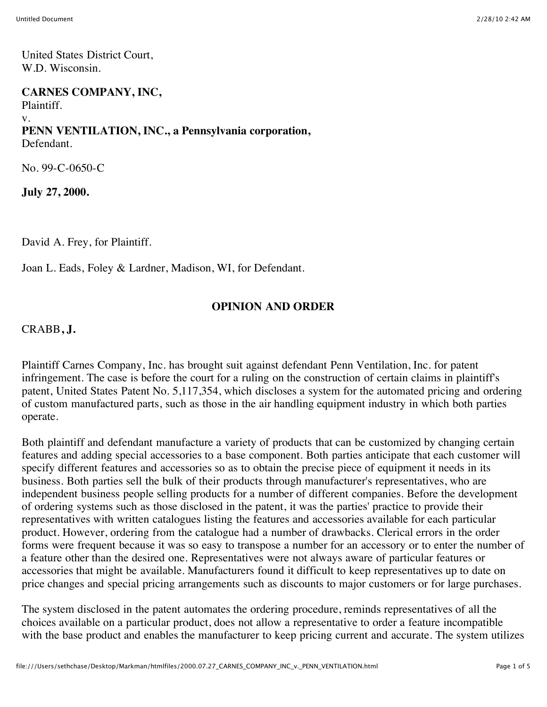United States District Court, W.D. Wisconsin.

#### **CARNES COMPANY, INC,**

Plaintiff. v. **PENN VENTILATION, INC., a Pennsylvania corporation,** Defendant.

No. 99-C-0650-C

**July 27, 2000.**

David A. Frey, for Plaintiff.

Joan L. Eads, Foley & Lardner, Madison, WI, for Defendant.

### **OPINION AND ORDER**

CRABB**, J.**

Plaintiff Carnes Company, Inc. has brought suit against defendant Penn Ventilation, Inc. for patent infringement. The case is before the court for a ruling on the construction of certain claims in plaintiff's patent, United States Patent No. 5,117,354, which discloses a system for the automated pricing and ordering of custom manufactured parts, such as those in the air handling equipment industry in which both parties operate.

Both plaintiff and defendant manufacture a variety of products that can be customized by changing certain features and adding special accessories to a base component. Both parties anticipate that each customer will specify different features and accessories so as to obtain the precise piece of equipment it needs in its business. Both parties sell the bulk of their products through manufacturer's representatives, who are independent business people selling products for a number of different companies. Before the development of ordering systems such as those disclosed in the patent, it was the parties' practice to provide their representatives with written catalogues listing the features and accessories available for each particular product. However, ordering from the catalogue had a number of drawbacks. Clerical errors in the order forms were frequent because it was so easy to transpose a number for an accessory or to enter the number of a feature other than the desired one. Representatives were not always aware of particular features or accessories that might be available. Manufacturers found it difficult to keep representatives up to date on price changes and special pricing arrangements such as discounts to major customers or for large purchases.

The system disclosed in the patent automates the ordering procedure, reminds representatives of all the choices available on a particular product, does not allow a representative to order a feature incompatible with the base product and enables the manufacturer to keep pricing current and accurate. The system utilizes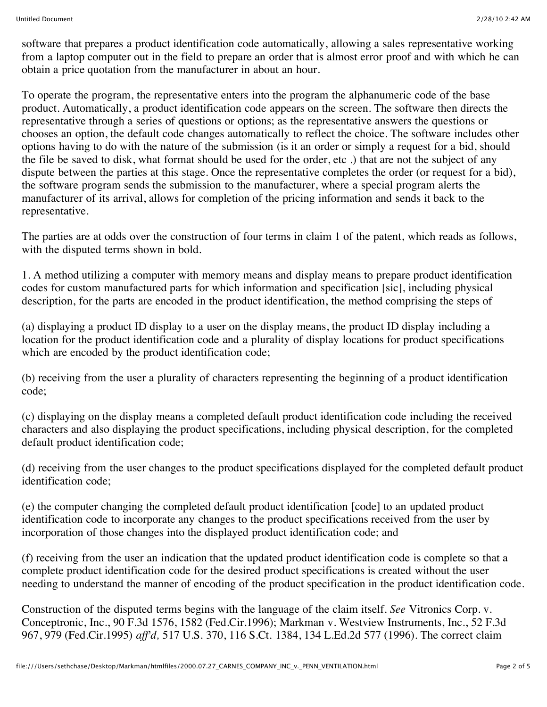software that prepares a product identification code automatically, allowing a sales representative working from a laptop computer out in the field to prepare an order that is almost error proof and with which he can obtain a price quotation from the manufacturer in about an hour.

To operate the program, the representative enters into the program the alphanumeric code of the base product. Automatically, a product identification code appears on the screen. The software then directs the representative through a series of questions or options; as the representative answers the questions or chooses an option, the default code changes automatically to reflect the choice. The software includes other options having to do with the nature of the submission (is it an order or simply a request for a bid, should the file be saved to disk, what format should be used for the order, etc .) that are not the subject of any dispute between the parties at this stage. Once the representative completes the order (or request for a bid), the software program sends the submission to the manufacturer, where a special program alerts the manufacturer of its arrival, allows for completion of the pricing information and sends it back to the representative.

The parties are at odds over the construction of four terms in claim 1 of the patent, which reads as follows, with the disputed terms shown in bold.

1. A method utilizing a computer with memory means and display means to prepare product identification codes for custom manufactured parts for which information and specification [sic], including physical description, for the parts are encoded in the product identification, the method comprising the steps of

(a) displaying a product ID display to a user on the display means, the product ID display including a location for the product identification code and a plurality of display locations for product specifications which are encoded by the product identification code;

(b) receiving from the user a plurality of characters representing the beginning of a product identification code;

(c) displaying on the display means a completed default product identification code including the received characters and also displaying the product specifications, including physical description, for the completed default product identification code;

(d) receiving from the user changes to the product specifications displayed for the completed default product identification code;

(e) the computer changing the completed default product identification [code] to an updated product identification code to incorporate any changes to the product specifications received from the user by incorporation of those changes into the displayed product identification code; and

(f) receiving from the user an indication that the updated product identification code is complete so that a complete product identification code for the desired product specifications is created without the user needing to understand the manner of encoding of the product specification in the product identification code.

Construction of the disputed terms begins with the language of the claim itself. *See* Vitronics Corp. v. Conceptronic, Inc., 90 F.3d 1576, 1582 (Fed.Cir.1996); Markman v. Westview Instruments, Inc., 52 F.3d 967, 979 (Fed.Cir.1995) *aff'd,* 517 U.S. 370, 116 S.Ct. 1384, 134 L.Ed.2d 577 (1996). The correct claim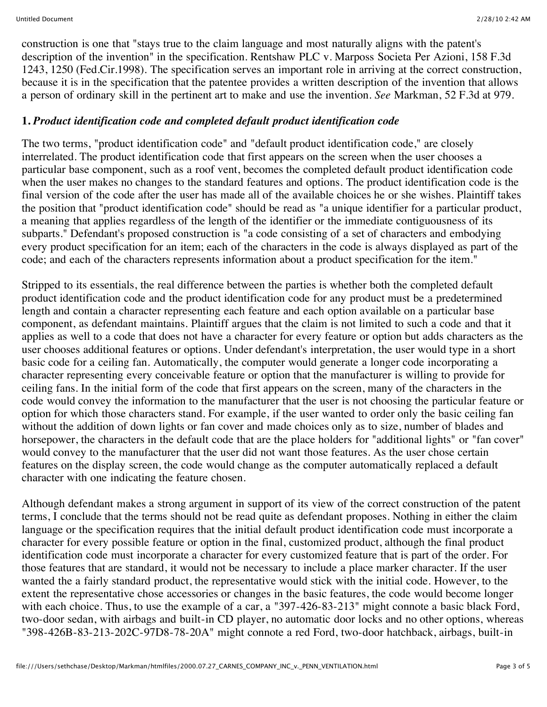construction is one that "stays true to the claim language and most naturally aligns with the patent's description of the invention" in the specification. Rentshaw PLC v. Marposs Societa Per Azioni, 158 F.3d 1243, 1250 (Fed.Cir.1998). The specification serves an important role in arriving at the correct construction, because it is in the specification that the patentee provides a written description of the invention that allows a person of ordinary skill in the pertinent art to make and use the invention. *See* Markman, 52 F.3d at 979.

### **1.** *Product identification code and completed default product identification code*

The two terms, "product identification code" and "default product identification code," are closely interrelated. The product identification code that first appears on the screen when the user chooses a particular base component, such as a roof vent, becomes the completed default product identification code when the user makes no changes to the standard features and options. The product identification code is the final version of the code after the user has made all of the available choices he or she wishes. Plaintiff takes the position that "product identification code" should be read as "a unique identifier for a particular product, a meaning that applies regardless of the length of the identifier or the immediate contiguousness of its subparts." Defendant's proposed construction is "a code consisting of a set of characters and embodying every product specification for an item; each of the characters in the code is always displayed as part of the code; and each of the characters represents information about a product specification for the item."

Stripped to its essentials, the real difference between the parties is whether both the completed default product identification code and the product identification code for any product must be a predetermined length and contain a character representing each feature and each option available on a particular base component, as defendant maintains. Plaintiff argues that the claim is not limited to such a code and that it applies as well to a code that does not have a character for every feature or option but adds characters as the user chooses additional features or options. Under defendant's interpretation, the user would type in a short basic code for a ceiling fan. Automatically, the computer would generate a longer code incorporating a character representing every conceivable feature or option that the manufacturer is willing to provide for ceiling fans. In the initial form of the code that first appears on the screen, many of the characters in the code would convey the information to the manufacturer that the user is not choosing the particular feature or option for which those characters stand. For example, if the user wanted to order only the basic ceiling fan without the addition of down lights or fan cover and made choices only as to size, number of blades and horsepower, the characters in the default code that are the place holders for "additional lights" or "fan cover" would convey to the manufacturer that the user did not want those features. As the user chose certain features on the display screen, the code would change as the computer automatically replaced a default character with one indicating the feature chosen.

Although defendant makes a strong argument in support of its view of the correct construction of the patent terms, I conclude that the terms should not be read quite as defendant proposes. Nothing in either the claim language or the specification requires that the initial default product identification code must incorporate a character for every possible feature or option in the final, customized product, although the final product identification code must incorporate a character for every customized feature that is part of the order. For those features that are standard, it would not be necessary to include a place marker character. If the user wanted the a fairly standard product, the representative would stick with the initial code. However, to the extent the representative chose accessories or changes in the basic features, the code would become longer with each choice. Thus, to use the example of a car, a "397-426-83-213" might connote a basic black Ford, two-door sedan, with airbags and built-in CD player, no automatic door locks and no other options, whereas "398-426B-83-213-202C-97D8-78-20A" might connote a red Ford, two-door hatchback, airbags, built-in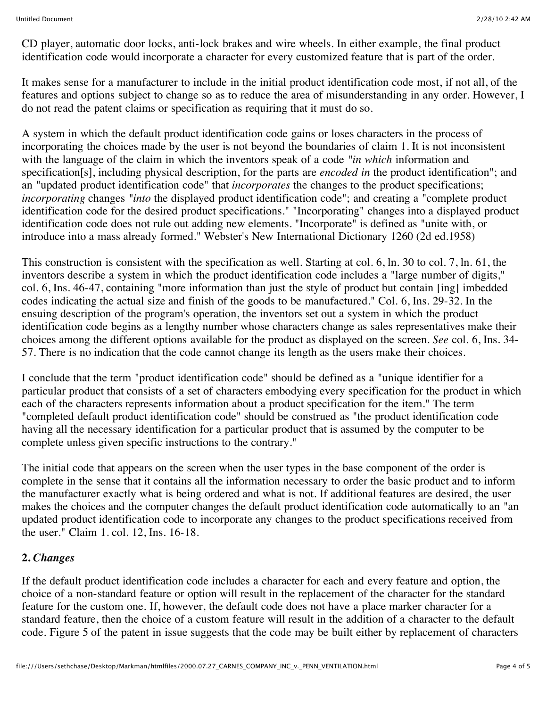CD player, automatic door locks, anti-lock brakes and wire wheels. In either example, the final product identification code would incorporate a character for every customized feature that is part of the order.

It makes sense for a manufacturer to include in the initial product identification code most, if not all, of the features and options subject to change so as to reduce the area of misunderstanding in any order. However, I do not read the patent claims or specification as requiring that it must do so.

A system in which the default product identification code gains or loses characters in the process of incorporating the choices made by the user is not beyond the boundaries of claim 1. It is not inconsistent with the language of the claim in which the inventors speak of a code *"in which* information and specification[s], including physical description, for the parts are *encoded in* the product identification"; and an "updated product identification code" that *incorporates* the changes to the product specifications; *incorporating* changes *"into* the displayed product identification code"; and creating a "complete product identification code for the desired product specifications." "Incorporating" changes into a displayed product identification code does not rule out adding new elements. "Incorporate" is defined as "unite with, or introduce into a mass already formed." Webster's New International Dictionary 1260 (2d ed.1958)

This construction is consistent with the specification as well. Starting at col. 6, ln. 30 to col. 7, ln. 61, the inventors describe a system in which the product identification code includes a "large number of digits," col. 6, Ins. 46-47, containing "more information than just the style of product but contain [ing] imbedded codes indicating the actual size and finish of the goods to be manufactured." Col. 6, Ins. 29-32. In the ensuing description of the program's operation, the inventors set out a system in which the product identification code begins as a lengthy number whose characters change as sales representatives make their choices among the different options available for the product as displayed on the screen. *See* col. 6, Ins. 34- 57. There is no indication that the code cannot change its length as the users make their choices.

I conclude that the term "product identification code" should be defined as a "unique identifier for a particular product that consists of a set of characters embodying every specification for the product in which each of the characters represents information about a product specification for the item." The term "completed default product identification code" should be construed as "the product identification code having all the necessary identification for a particular product that is assumed by the computer to be complete unless given specific instructions to the contrary."

The initial code that appears on the screen when the user types in the base component of the order is complete in the sense that it contains all the information necessary to order the basic product and to inform the manufacturer exactly what is being ordered and what is not. If additional features are desired, the user makes the choices and the computer changes the default product identification code automatically to an "an updated product identification code to incorporate any changes to the product specifications received from the user." Claim 1. col. 12, Ins. 16-18.

# **2.** *Changes*

If the default product identification code includes a character for each and every feature and option, the choice of a non-standard feature or option will result in the replacement of the character for the standard feature for the custom one. If, however, the default code does not have a place marker character for a standard feature, then the choice of a custom feature will result in the addition of a character to the default code. Figure 5 of the patent in issue suggests that the code may be built either by replacement of characters